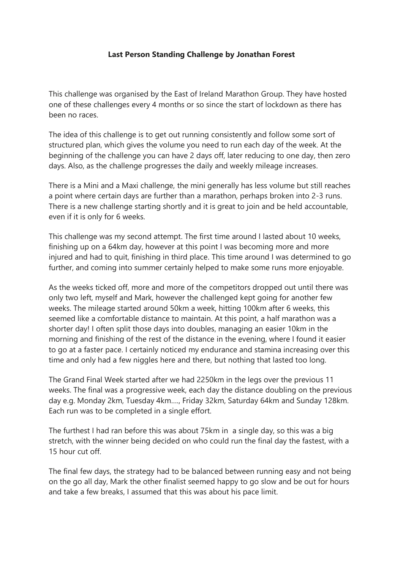## **Last Person Standing Challenge by Jonathan Forest**

This challenge was organised by the East of Ireland Marathon Group. They have hosted one of these challenges every 4 months or so since the start of lockdown as there has been no races.

The idea of this challenge is to get out running consistently and follow some sort of structured plan, which gives the volume you need to run each day of the week. At the beginning of the challenge you can have 2 days off, later reducing to one day, then zero days. Also, as the challenge progresses the daily and weekly mileage increases.

There is a Mini and a Maxi challenge, the mini generally has less volume but still reaches a point where certain days are further than a marathon, perhaps broken into 2-3 runs. There is a new challenge starting shortly and it is great to join and be held accountable, even if it is only for 6 weeks.

This challenge was my second attempt. The first time around I lasted about 10 weeks, finishing up on a 64km day, however at this point I was becoming more and more injured and had to quit, finishing in third place. This time around I was determined to go further, and coming into summer certainly helped to make some runs more enjoyable.

As the weeks ticked off, more and more of the competitors dropped out until there was only two left, myself and Mark, however the challenged kept going for another few weeks. The mileage started around 50km a week, hitting 100km after 6 weeks, this seemed like a comfortable distance to maintain. At this point, a half marathon was a shorter day! I often split those days into doubles, managing an easier 10km in the morning and finishing of the rest of the distance in the evening, where I found it easier to go at a faster pace. I certainly noticed my endurance and stamina increasing over this time and only had a few niggles here and there, but nothing that lasted too long.

The Grand Final Week started after we had 2250km in the legs over the previous 11 weeks. The final was a progressive week, each day the distance doubling on the previous day e.g. Monday 2km, Tuesday 4km…., Friday 32km, Saturday 64km and Sunday 128km. Each run was to be completed in a single effort.

The furthest I had ran before this was about 75km in a single day, so this was a big stretch, with the winner being decided on who could run the final day the fastest, with a 15 hour cut off.

The final few days, the strategy had to be balanced between running easy and not being on the go all day, Mark the other finalist seemed happy to go slow and be out for hours and take a few breaks, I assumed that this was about his pace limit.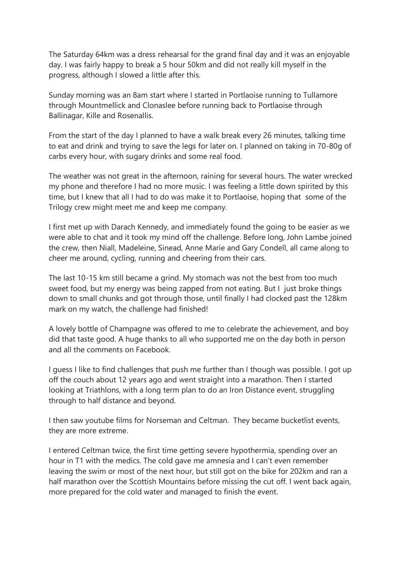The Saturday 64km was a dress rehearsal for the grand final day and it was an enjoyable day. I was fairly happy to break a 5 hour 50km and did not really kill myself in the progress, although I slowed a little after this.

Sunday morning was an 8am start where I started in Portlaoise running to Tullamore through Mountmellick and Clonaslee before running back to Portlaoise through Ballinagar, Kille and Rosenallis.

From the start of the day I planned to have a walk break every 26 minutes, talking time to eat and drink and trying to save the legs for later on. I planned on taking in 70-80g of carbs every hour, with sugary drinks and some real food.

The weather was not great in the afternoon, raining for several hours. The water wrecked my phone and therefore I had no more music. I was feeling a little down spirited by this time, but I knew that all I had to do was make it to Portlaoise, hoping that some of the Trilogy crew might meet me and keep me company.

I first met up with Darach Kennedy, and immediately found the going to be easier as we were able to chat and it took my mind off the challenge. Before long, John Lambe joined the crew, then Niall, Madeleine, Sinead, Anne Marie and Gary Condell, all came along to cheer me around, cycling, running and cheering from their cars.

The last 10-15 km still became a grind. My stomach was not the best from too much sweet food, but my energy was being zapped from not eating. But I just broke things down to small chunks and got through those, until finally I had clocked past the 128km mark on my watch, the challenge had finished!

A lovely bottle of Champagne was offered to me to celebrate the achievement, and boy did that taste good. A huge thanks to all who supported me on the day both in person and all the comments on Facebook.

I guess I like to find challenges that push me further than I though was possible. I got up off the couch about 12 years ago and went straight into a marathon. Then I started looking at Triathlons, with a long term plan to do an Iron Distance event, struggling through to half distance and beyond.

I then saw youtube films for Norseman and Celtman. They became bucketlist events, they are more extreme.

I entered Celtman twice, the first time getting severe hypothermia, spending over an hour in T1 with the medics. The cold gave me amnesia and I can't even remember leaving the swim or most of the next hour, but still got on the bike for 202km and ran a half marathon over the Scottish Mountains before missing the cut off. I went back again, more prepared for the cold water and managed to finish the event.